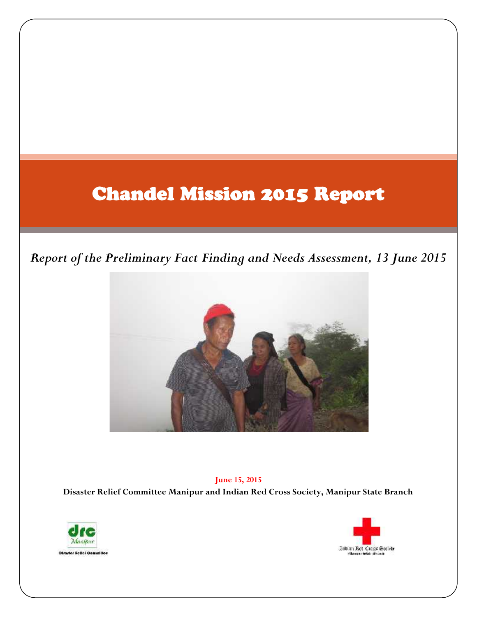## **Chandel Mission 2015 Report**

## *Report of the Preliminary Fact Finding and Needs Assessment, 13 June 2015*



**June 15, 2015 Disaster Relief Committee Manipur and Indian Red Cross Society, Manipur State Branch**



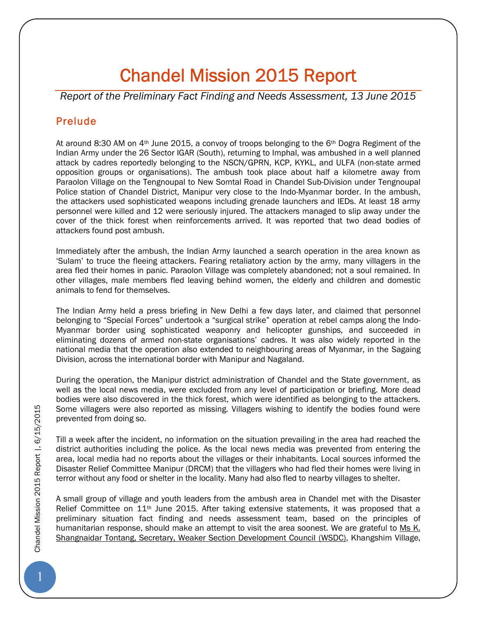# **Chandel Mission 2015 Report**

*Report of the Preliminary Fact Finding and Needs Assessment, 13 June 2015*

## **Prelude**

At around 8:30 AM on  $4<sup>th</sup>$  June 2015, a convoy of troops belonging to the 6<sup>th</sup> Dogra Regiment of the Indian Army under the 26 Sector IGAR (South), returning to Imphal, was ambushed in a well planned attack by cadres reportedly belonging to the NSCN/GPRN, KCP, KYKL, and ULFA (non-state armed opposition groups or organisations). The ambush took place about half a kilometre away from Paraolon Village on the Tengnoupal to New Somtal Road in Chandel Sub-Division under Tengnoupal Police station of Chandel District, Manipur very close to the Indo-Myanmar border. In the ambush, the attackers used sophisticated weapons including grenade launchers and IEDs. At least 18 army personnel were killed and 12 were seriously injured. The attackers managed to slip away under the cover of the thick forest when reinforcements arrived. It was reported that two dead bodies of attackers found post ambush.

Immediately after the ambush, the Indian Army launched a search operation in the area known as 'Sulam' to truce the fleeing attackers. Fearing retaliatory action by the army, many villagers in the area fled their homes in panic. Paraolon Village was completely abandoned; not a soul remained. In other villages, male members fled leaving behind women, the elderly and children and domestic animals to fend for themselves.

The Indian Army held a press briefing in New Delhi a few days later, and claimed that personnel belonging to "Special Forces" undertook a "surgical strike" operation at rebel camps along the Indo- Myanmar border using sophisticated weaponry and helicopter gunships, and succeeded in eliminating dozens of armed non-state organisations' cadres. It was also widely reported in the national media that the operation also extended to neighbouring areas of Myanmar, in the Sagaing Division, across the international border with Manipur and Nagaland.

During the operation, the Manipur district administration of Chandel and the State government, as well as the local news media, were excluded from any level of participation or briefing. More dead bodies were also discovered in the thick forest, which were identified as belonging to the attackers. Some villagers were also reported as missing. Villagers wishing to identify the bodies found were prevented from doing so.

Till a week after the incident, no information on the situation prevailing in the area had reached the district authorities including the police. As the local news media was prevented from entering the area, local media had no reports about the villages or their inhabitants. Local sources informed the Disaster Relief Committee Manipur (DRCM) that the villagers who had fled their homes were living in terror without any food or shelter in the locality. Many had also fled to nearby villages to shelter.

A small group of village and youth leaders from the ambush area in Chandel met with the Disaster Relief Committee on 11<sup>th</sup> June 2015. After taking extensive statements, it was proposed that a preliminary situation fact finding and needs assessment team, based on the principles of humanitarian response, should make an attempt to visit the area soonest. We are grateful to Ms K. Shangnaidar Tontang, Secretary, Weaker Section Development Council (WSDC), Khangshim Village,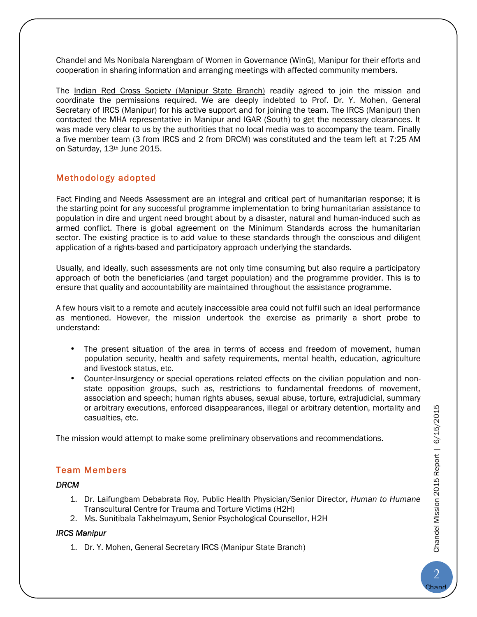Chandel and Ms Nonibala Narengbam of Women in Governance (WinG), Manipur for their efforts and cooperation in sharing information and arranging meetings with affected community members.

The Indian Red Cross Society (Manipur State Branch) readily agreed to join the mission and coordinate the permissions required. We are deeply indebted to Prof. Dr. Y. Mohen, General Secretary of IRCS (Manipur) for his active support and for joining the team. The IRCS (Manipur) then contacted the MHA representative in Manipur and IGAR (South) to get the necessary clearances. It was made very clear to us by the authorities that no local media was to accompany the team. Finally a five member team (3 from IRCS and 2 from DRCM) was constituted and the team left at 7:25 AM on Saturday, 13th June 2015.

## **Methodology adopted**

Fact Finding and Needs Assessment are an integral and critical part of humanitarian response; it is the starting point for any successful programme implementation to bring humanitarian assistance to population in dire and urgent need brought about by a disaster, natural and human-induced such as armed conflict. There is global agreement on the Minimum Standards across the humanitarian sector. The existing practice is to add value to these standards through the conscious and diligent application of a rights-based and participatory approach underlying the standards.

Usually, and ideally, such assessments are not only time consuming but also require a participatory approach of both the beneficiaries (and target population) and the programme provider. This is to ensure that quality and accountability are maintained throughout the assistance programme.

A few hours visit to a remote and acutely inaccessible area could not fulfil such an ideal performance as mentioned. However, the mission undertook the exercise as primarily a short probe to understand:

- The present situation of the area in terms of access and freedom of movement, human population security, health and safety requirements, mental health, education, agriculture and livestock status, etc.
- Counter-Insurgency or special operations related effects on the civilian population and non state opposition groups, such as, restrictions to fundamental freedoms of movement, association and speech; human rights abuses, sexual abuse, torture, extrajudicial, summary or arbitrary executions, enforced disappearances, illegal or arbitrary detention, mortality and casualties, etc.

The mission would attempt to make some preliminary observations and recommendations.

## **Team Members**

### *DRCM*

- 1. Dr. Laifungbam Debabrata Roy, Public Health Physician/Senior Director, *Human to Humane* Transcultural Centre for Trauma and Torture Victims (H2H)
- 2. Ms. Sunitibala Takhelmayum, Senior Psychological Counsellor, H2H

#### *IRCS Manipur*

1. Dr. Y. Mohen, General Secretary IRCS (Manipur State Branch)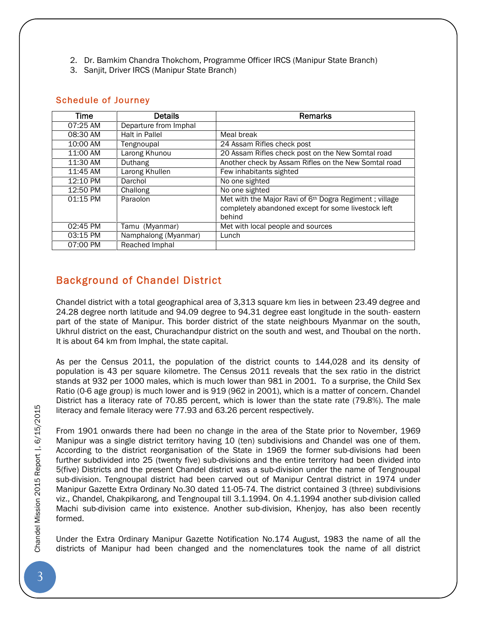- 2. Dr. Bamkim Chandra Thokchom, Programme Officer IRCS (Manipur State Branch)
- 3. Sanjit, Driver IRCS (Manipur State Branch)

## **Schedule of Journey**

| Time     | <b>Details</b>        | <b>Remarks</b>                                                                                                                      |  |  |  |
|----------|-----------------------|-------------------------------------------------------------------------------------------------------------------------------------|--|--|--|
| 07:25 AM | Departure from Imphal |                                                                                                                                     |  |  |  |
| 08:30 AM | Halt in Pallel        | Meal break                                                                                                                          |  |  |  |
| 10:00 AM | Tengnoupal            | 24 Assam Rifles check post                                                                                                          |  |  |  |
| 11:00 AM | Larong Khunou         | 20 Assam Rifles check post on the New Somtal road                                                                                   |  |  |  |
| 11:30 AM | Duthang               | Another check by Assam Rifles on the New Somtal road                                                                                |  |  |  |
| 11:45 AM | Larong Khullen        | Few inhabitants sighted                                                                                                             |  |  |  |
| 12:10 PM | Darchol               | No one sighted                                                                                                                      |  |  |  |
| 12:50 PM | Challong              | No one sighted                                                                                                                      |  |  |  |
| 01:15 PM | Paraolon              | Met with the Major Ravi of 6 <sup>th</sup> Dogra Regiment; village<br>completely abandoned except for some livestock left<br>behind |  |  |  |
| 02:45 PM | Tamu (Myanmar)        | Met with local people and sources                                                                                                   |  |  |  |
| 03:15 PM | Namphalong (Myanmar)  | Lunch                                                                                                                               |  |  |  |
| 07:00 PM | Reached Imphal        |                                                                                                                                     |  |  |  |

## **Background of Chandel District**

Chandel district with a total geographical area of 3,313 square km lies in between 23.49 degree and 24.28 degree north latitude and 94.09 degree to 94.31 degree east longitude in the south- eastern part of the state of Manipur. This border district of the state neighbours Myanmar on the south, Ukhrul district on the east, Churachandpur district on the south and west, and Thoubal on the north. It is about 64 km from Imphal, the state capital.

As per the Census 2011, the population of the district counts to 144,028 and its density of population is 43 per square kilometre. The Census 2011 reveals that the sex ratio in the district stands at 932 per 1000 males, which is much lower than 981 in 2001. To a surprise, the Child Sex Ratio (0-6 age group) is much lower and is 919 (962 in 2001), which is a matter of concern. Chandel District has a literacy rate of 70.85 percent, which is lower than the state rate (79.8%). The male literacy and female literacy were 77.93 and 63.26 percent respectively.

From 1901 onwards there had been no change in the area of the State prior to November, 1969 Manipur was a single district territory having 10 (ten) subdivisions and Chandel was one of them. According to the district reorganisation of the State in 1969 the former sub-divisions had been further subdivided into 25 (twenty five) sub-divisions and the entire territory had been divided into 5(five) Districts and the present Chandel district was a sub-division under the name of Tengnoupal sub-division. Tengnoupal district had been carved out of Manipur Central district in 1974 under Manipur Gazette Extra Ordinary No.30 dated 11-05-74. The district contained 3 (three) subdivisions viz., Chandel, Chakpikarong, and Tengnoupal till 3.1.1994. On 4.1.1994 another sub-division called Machi sub-division came into existence. Another sub-division, Khenjoy, has also been recently formed.

Under the Extra Ordinary Manipur Gazette Notification No.174 August, 1983 the name of all the districts of Manipur had been changed and the nomenclatures took the name of all district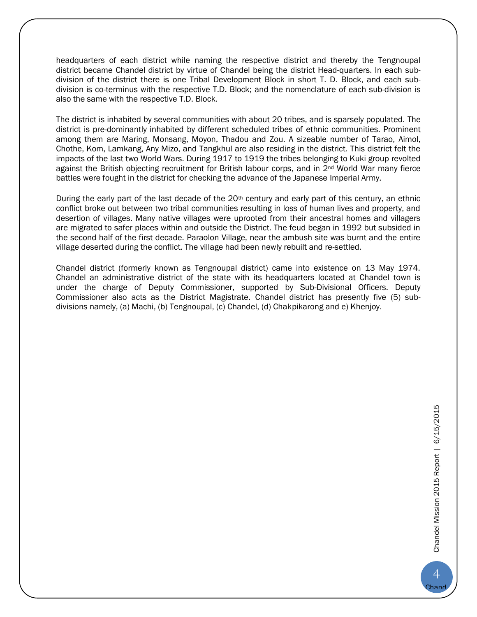headquarters of each district while naming the respective district and thereby the Tengnoupal district became Chandel district by virtue of Chandel being the district Head-quarters. In each sub-division of the district there is one Tribal Development Block in short T. D. Block, and each sub division is co-terminus with the respective T.D. Block; and the nomenclature of each sub-division is also the same with the respective T.D. Block.

The district is inhabited by several communities with about 20 tribes, and is sparsely populated. The district is pre-dominantly inhabited by different scheduled tribes of ethnic communities. Prominent among them are Maring, Monsang, Moyon, Thadou and Zou. A sizeable number of Tarao, Aimol, Chothe, Kom, Lamkang, Any Mizo, and Tangkhul are also residing in the district. This district felt the impacts of the last two World Wars. During 1917 to 1919 the tribes belonging to Kuki group revolted against the British objecting recruitment for British labour corps, and in 2nd World War many fierce battles were fought in the district for checking the advance of the Japanese Imperial Army.

During the early part of the last decade of the 20<sup>th</sup> century and early part of this century, an ethnic conflict broke out between two tribal communities resulting in loss of human lives and property, and desertion of villages. Many native villages were uprooted from their ancestral homes and villagers are migrated to safer places within and outside the District. The feud began in 1992 but subsided in the second half of the first decade. Paraolon Village, near the ambush site was burnt and the entire village deserted during the conflict. The village had been newly rebuilt and re-settled.

Chandel district (formerly known as Tengnoupal district) came into existence on 13 May 1974. Chandel an administrative district of the state with its headquarters located at Chandel town is under the charge of Deputy Commissioner, supported by Sub-Divisional Officers. Deputy Commissioner also acts as the District Magistrate. Chandel district has presently five (5) sub divisions namely, (a) Machi, (b) Tengnoupal, (c) Chandel, (d) Chakpikarong and e) Khenjoy.

Chand el

4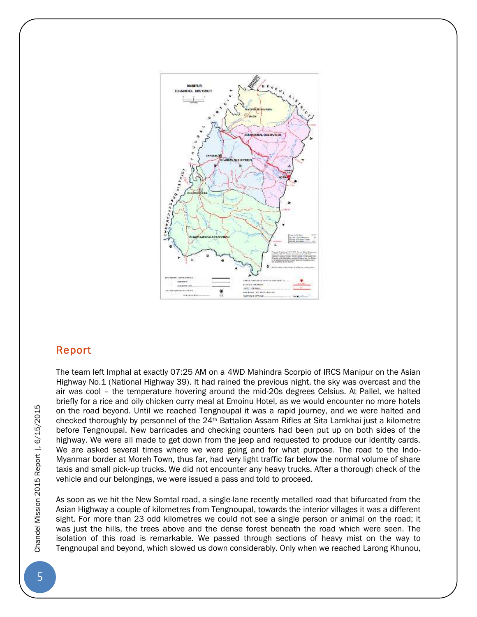

## **Report**

The team left Imphal at exactly 07:25 AM on a 4WD Mahindra Scorpio of IRCS Manipur on the Asian Highway No.1 (National Highway 39). It had rained the previous night, the sky was overcast and the air was cool – the temperature hovering around the mid-20s degrees Celsius. At Pallel, we halted briefly for a rice and oily chicken curry meal at Emoinu Hotel, as we would encounter no more hotels on the road beyond. Until we reached Tengnoupal it was a rapid journey, and we were halted and checked thoroughly by personnel of the 24th Battalion Assam Rifles at Sita Lamkhai just a kilometre before Tengnoupal. New barricades and checking counters had been put up on both sides of the highway. We were all made to get down from the jeep and requested to produce our identity cards. We are asked several times where we were going and for what purpose. The road to the Indo- Myanmar border at Moreh Town, thus far, had very light traffic far below the normal volume of share taxis and small pick-up trucks. We did not encounter any heavy trucks. After a thorough check of the vehicle and our belongings, we were issued a pass and told to proceed. The team left Imphal at exactly 07:25 AM on a 4WD Mahindra Scorpio of IRCS Manipur on the Asian<br>Highway No.1 (National Highway 39). It had rained the previous night, the sky was overast and the<br>air was cool - the temperat

As soon as we hit the New Somtal road, a single-lane recently metalled road that bifurcated from the Asian Highway a couple of kilometres from Tengnoupal, towards the interior villages it was a different sight. For more than 23 odd kilometres we could not see a single person or animal on the road; it was just the hills, the trees above and the dense forest beneath the road which were seen. The isolation of this road is remarkable. We passed through sections of heavy mist on the way to Tengnoupal and beyond, which slowed us down considerably. Only when we reached Larong Khunou,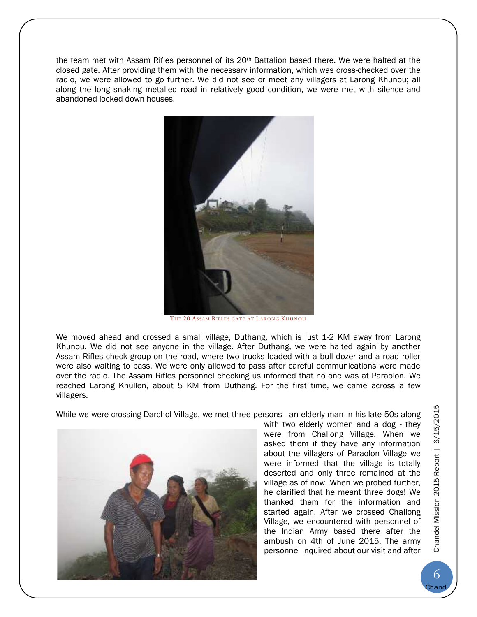the team met with Assam Rifles personnel of its 20th Battalion based there. We were halted at the closed gate. After providing them with the necessary information, which was cross-checked over the radio, we were allowed to go further. We did not see or meet any villagers at Larong Khunou; all along the long snaking metalled road in relatively good condition, we were met with silence and abandoned locked down houses.



THE 20 ASSAM RIFLES GATE AT LARONG KHUNOU

We moved ahead and crossed a small village, Duthang, which is just 1-2 KM away from Larong Khunou. We did not see anyone in the village. After Duthang, we were halted again by another Assam Rifles check group on the road, where two trucks loaded with a bull dozer and a road roller were also waiting to pass. We were only allowed to pass after careful communications were made over the radio. The Assam Rifles personnel checking us informed that no one was at Paraolon. We reached Larong Khullen, about 5 KM from Duthang. For the first time, we came across a few villagers.

While we were crossing Darchol Village, we met three persons - an elderly man in his late 50s along



with two elderly women and a dog - they were from Challong Village. When we asked them if they have any information about the villagers of Paraolon Village we were informed that the village is totally deserted and only three remained at the village as of now. When we probed further, he clarified that he meant three dogs! We thanked them for the information and started again. After we crossed Challong Village, we encountered with personnel of the Indian Army based there after the ambush on 4th of June 2015. The army personnel inquired about our visit and after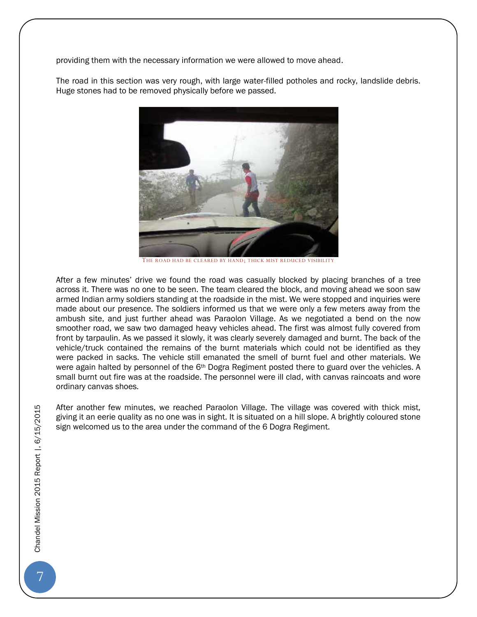providing them with the necessary information we were allowed to move ahead.

The road in this section was very rough, with large water-filled potholes and rocky, landslide debris. Huge stones had to be removed physically before we passed.



THE ROAD HAD BE CLEARED BY HAND; THICK MIST REDUCED VISIBILITY

After a few minutes' drive we found the road was casually blocked by placing branches of a tree across it. There was no one to be seen. The team cleared the block, and moving ahead we soon saw armed Indian army soldiers standing at the roadside in the mist. We were stopped and inquiries were made about our presence. The soldiers informed us that we were only a few meters away from the ambush site, and just further ahead was Paraolon Village. As we negotiated a bend on the now smoother road, we saw two damaged heavy vehicles ahead. The first was almost fully covered from front by tarpaulin. As we passed it slowly, it was clearly severely damaged and burnt. The back of the vehicle/truck contained the remains of the burnt materials which could not be identified as they were packed in sacks. The vehicle still emanated the smell of burnt fuel and other materials. We were again halted by personnel of the 6<sup>th</sup> Dogra Regiment posted there to guard over the vehicles. A small burnt out fire was at the roadside. The personnel were ill clad, with canvas raincoats and wore ordinary canvas shoes.

After another few minutes, we reached Paraolon Village. The village was covered with thick mist, giving it an eerie quality as no one was in sight. It is situated on a hill slope. A brightly coloured stone sign welcomed us to the area under the command of the 6 Dogra Regiment.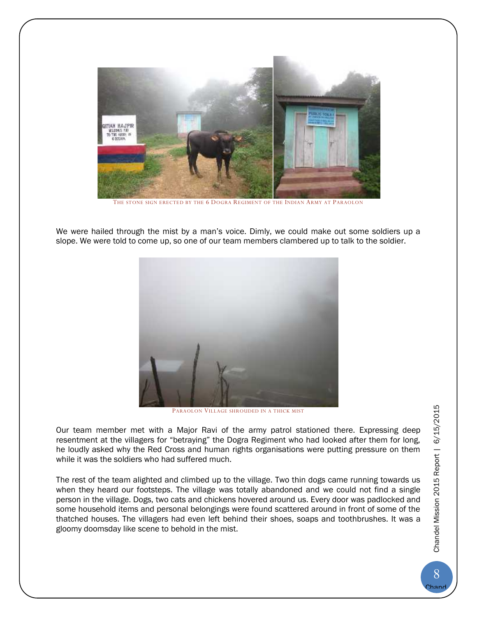

THE STONE SIGN ERECTED BY THE 6 DOGRA REGIMENT OF THE INDIAN ARMY AT PARAOLON

We were hailed through the mist by a man's voice. Dimly, we could make out some soldiers up a slope. We were told to come up, so one of our team members clambered up to talk to the soldier.



PARAOLON VILLAGE SHROUDED IN A THICK MIST

Our team member met with a Major Ravi of the army patrol stationed there. Expressing deep resentment at the villagers for "betraying" the Dogra Regiment who had looked after them for long, he loudly asked why the Red Cross and human rights organisations were putting pressure on them while it was the soldiers who had suffered much.

The rest of the team alighted and climbed up to the village. Two thin dogs came running towards us when they heard our footsteps. The village was totally abandoned and we could not find a single person in the village. Dogs, two cats and chickens hovered around us. Every door was padlocked and some household items and personal belongings were found scattered around in front of some of the thatched houses. The villagers had even left behind their shoes, soaps and toothbrushes. It was a gloomy doomsday like scene to behold in the mist.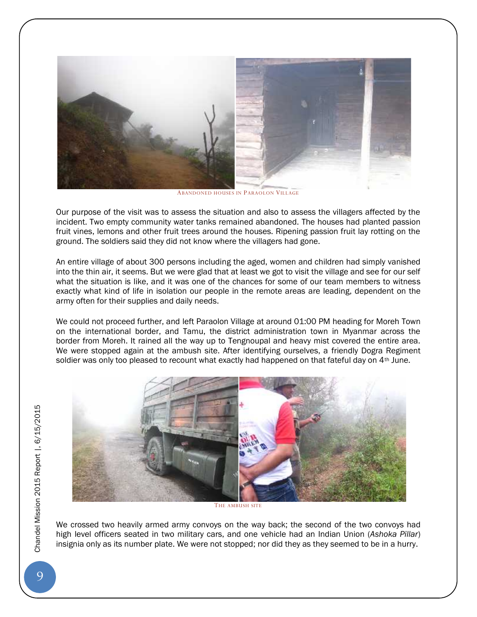

ABANDONED HOUSES IN PARAOLON VILLAGE

Our purpose of the visit was to assess the situation and also to assess the villagers affected by the incident. Two empty community water tanks remained abandoned. The houses had planted passion fruit vines, lemons and other fruit trees around the houses. Ripening passion fruit lay rotting on the ground. The soldiers said they did not know where the villagers had gone.

An entire village of about 300 persons including the aged, women and children had simply vanished into the thin air, it seems. But we were glad that at least we got to visit the village and see for our self what the situation is like, and it was one of the chances for some of our team members to witness exactly what kind of life in isolation our people in the remote areas are leading, dependent on the army often for their supplies and daily needs.

We could not proceed further, and left Paraolon Village at around 01:00 PM heading for Moreh Town on the international border, and Tamu, the district administration town in Myanmar across the border from Moreh. It rained all the way up to Tengnoupal and heavy mist covered the entire area. We were stopped again at the ambush site. After identifying ourselves, a friendly Dogra Regiment soldier was only too pleased to recount what exactly had happened on that fateful day on  $4<sup>th</sup>$  June.



THE AMBUSH SITE

We crossed two heavily armed army convoys on the way back; the second of the two convoys had high levelofficers seated in two military cars, and one vehicle had an Indian Union (*Ashoka Pillar*) insignia only as its number plate. We were not stopped; nor did they as they seemed to be in a hurry.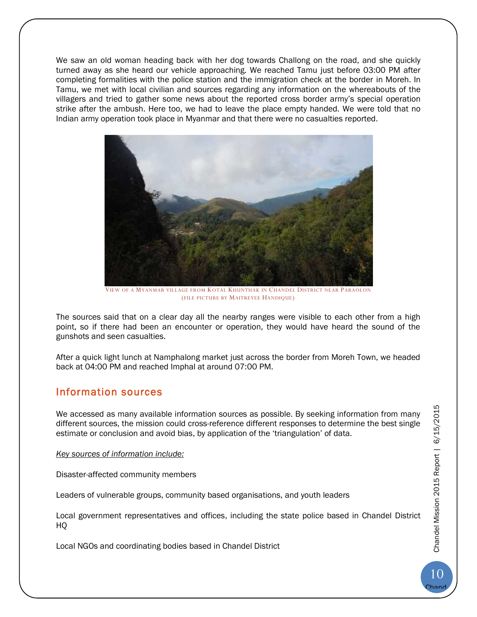We saw an old woman heading back with her dog towards Challong on the road, and she quickly turned away as she heard our vehicle approaching. We reached Tamu just before 03:00 PM after completing formalities with the police station and the immigration check at the border in Moreh. In Tamu, we met with local civilian and sources regarding any information on the whereabouts of the villagers and tried to gather some news about the reported cross border army's special operation strike after the ambush. Here too, we had to leave the place empty handed. We were told that no Indian army operation took place in Myanmar and that there were no casualties reported.



VIEW OF A MYANMAR VILLAGE FROM KOTAL KHUNTHAK IN CHANDEL DISTRICT NEAR PARAOLON (FILE PICTURE BY MAITREYEE HANDIQUE)

The sources said that on a clear day all the nearby ranges were visible to each other from a high point, so if there had been an encounter or operation, they would have heard the sound of the gunshots and seen casualties.

After a quick light lunch at Namphalong market just across the border from Moreh Town, we headed back at 04:00 PM and reached Imphal at around 07:00 PM.

## **Information sources**

We accessed as many available information sources as possible. By seeking information from many different sources, the mission could cross-reference different responses to determine the best single estimate or conclusion and avoid bias, by application of the 'triangulation' of data.

*Key sources of information include:*

Disaster-affected community members

Leaders of vulnerable groups, community based organisations, and youth leaders

Local government representatives and offices, including the state police based in Chandel District HQ

Local NGOs and coordinating bodies based in Chandel District

Chand el

10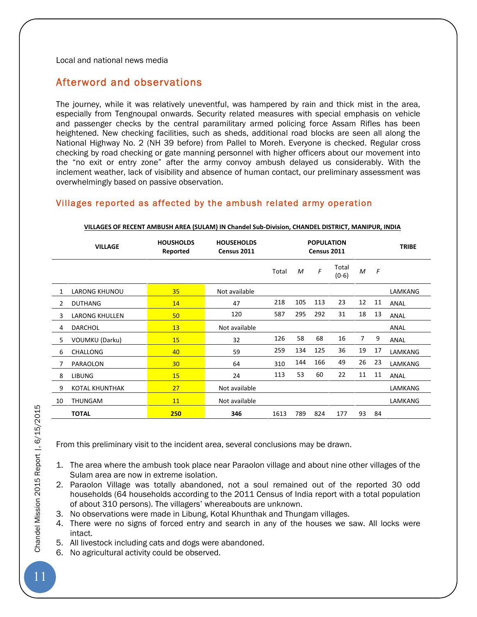Local and national news media

## **Afterword and observations**

The journey, while it was relatively uneventful, was hampered by rain and thick mist in the area, especially from Tengnoupal onwards. Security related measures with special emphasis on vehicle and passenger checks by the central paramilitary armed policing force Assam Rifles has been heightened. New checking facilities, such as sheds, additional road blocks are seen all along the National Highway No. 2 (NH 39 before) from Pallel to Moreh. Everyone is checked. Regular cross checking by road checking or gate manning personnel with higher officers about our movement into the "no exit or entry zone" after the army convoy ambush delayed us considerably. With the inclement weather, lack of visibility and absence of human contact, our preliminary assessment was overwhelmingly based on passive observation.

## **Villages reported as affected by the ambush related army operation**

|                | <b>VILLAGE</b>        | <b>HOUSHOLDS</b><br>Reported | <b>HOUSEHOLDS</b><br>Census 2011 |       | <b>POPULATION</b><br>Census 2011 |     |                  |    |    | <b>TRIBE</b> |
|----------------|-----------------------|------------------------------|----------------------------------|-------|----------------------------------|-----|------------------|----|----|--------------|
|                |                       |                              |                                  | Total | M                                | F   | Total<br>$(0-6)$ | M  | F  |              |
|                | <b>LARONG KHUNOU</b>  | 35                           | Not available                    |       |                                  |     |                  |    |    | LAMKANG      |
| $\overline{2}$ | <b>DUTHANG</b>        | 14                           | 47                               | 218   | 105                              | 113 | 23               | 12 | 11 | ANAL         |
| 3              | <b>LARONG KHULLEN</b> | 50                           | 120                              | 587   | 295                              | 292 | 31               | 18 | 13 | ANAL         |
| 4              | <b>DARCHOL</b>        | 13                           | Not available                    |       |                                  |     |                  |    |    | ANAL         |
| 5              | <b>VOUMKU (Darku)</b> | 15                           | 32                               | 126   | 58                               | 68  | 16               | 7  | 9  | ANAL         |
| 6              | <b>CHALLONG</b>       | 40                           | 59                               | 259   | 134                              | 125 | 36               | 19 | 17 | LAMKANG      |
| 7              | PARAOLON              | 30                           | 64                               | 310   | 144                              | 166 | 49               | 26 | 23 | LAMKANG      |
| 8              | <b>LIBUNG</b>         | 15                           | 24                               | 113   | 53                               | 60  | 22               | 11 | 11 | ANAL         |
| 9              | <b>KOTAL KHUNTHAK</b> | 27                           | Not available                    |       |                                  |     |                  |    |    | LAMKANG      |
| 10             | THUNGAM               | 11                           | Not available                    |       |                                  |     |                  |    |    | LAMKANG      |
|                | <b>TOTAL</b>          | 250                          | 346                              | 1613  | 789                              | 824 | 177              | 93 | 84 |              |

#### **VILLAGES OF RECENT AMBUSH AREA (SULAM) IN Chandel Sub-Division, CHANDEL DISTRICT, MANIPUR, INDIA**

From this preliminary visit to the incident area, several conclusions may be drawn.

- 1. The area where the ambush took place near Paraolon village and about nine other villages of the Sulam area are now in extreme isolation.
- 2. Paraolon Village was totally abandoned, not a soul remained out of the reported 30 odd households (64 households according to the 2011 Census of India report with a total population of about 310 persons). The villagers' whereabouts are unknown.
- 3. No observations were made in Libung, Kotal Khunthak and Thungam villages.
- 4. There were no signs of forced entry and search in any of the houses we saw. All locks were intact.
- 5. All livestock including cats and dogs were abandoned.
- 6. No agricultural activity could be observed.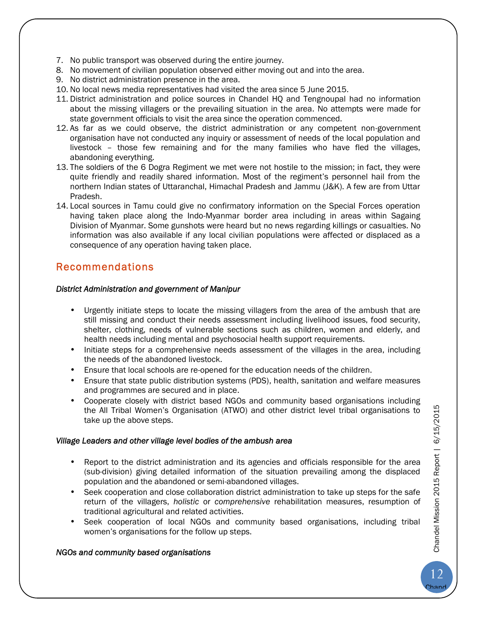- 7. No public transport was observed during the entire journey.
- 8. No movement of civilian population observed either moving out and into the area.
- 9. No district administration presence in the area.
- 10. No local news media representatives had visited the area since 5 June 2015.
- 11. District administration and police sources in Chandel HQ and Tengnoupal had no information about the missing villagers or the prevailing situation in the area. No attempts were made for state government officials to visit the area since the operation commenced.
- 12. As far as we could observe, the district administration or any competent non-government organisation have not conducted any inquiry or assessment of needs of the local population and livestock – those few remaining and for the many families who have fled the villages, abandoning everything.
- 13. The soldiers of the 6 Dogra Regiment we met were not hostile to the mission; in fact, they were quite friendly and readily shared information. Most of the regiment's personnel hail from the northern Indian states of Uttaranchal, Himachal Pradesh and Jammu (J&K). A few are from Uttar Pradesh.
- 14. Local sources in Tamu could give no confirmatory information on the Special Forces operation having taken place along the Indo-Myanmar border area including in areas within Sagaing Division of Myanmar. Some gunshots were heard but no news regarding killings or casualties. No information was also available if any local civilian populations were affected or displaced as a consequence of any operation having taken place.

## **Recommendations**

### *District Administration and government of Manipur*

- Urgently initiate steps to locate the missing villagers from the area of the ambush that are still missing and conduct their needs assessment including livelihood issues, food security, shelter, clothing, needs of vulnerable sections such as children, women and elderly, and health needs including mental and psychosocial health support requirements.
- Initiate steps for a comprehensive needs assessment of the villages in the area, including the needs of the abandoned livestock.
- Ensure that local schools are re-opened for the education needs of the children.
- Ensure that state public distribution systems (PDS), health, sanitation and welfare measures and programmes are secured and in place.
- Cooperate closely with district based NGOs and community based organisations including the All Tribal Women's Organisation (ATWO) and other district level tribal organisations to take up the above steps.

### *Village Leaders and other village level bodies of the ambush area*

- Report to the district administration and its agencies and officials responsible for the area (sub-division) giving detailed information of the situation prevailing among the displaced population and the abandoned or semi-abandoned villages.
- Seek cooperation and close collaboration district administration to take up steps for the safe return of the villagers, *holistic* or *comprehensive* rehabilitation measures, resumption of traditional agricultural and related activities.
- Seek cooperation of local NGOs and community based organisations, including tribal women's organisations for the follow up steps.

### *NGOs and community based organisations*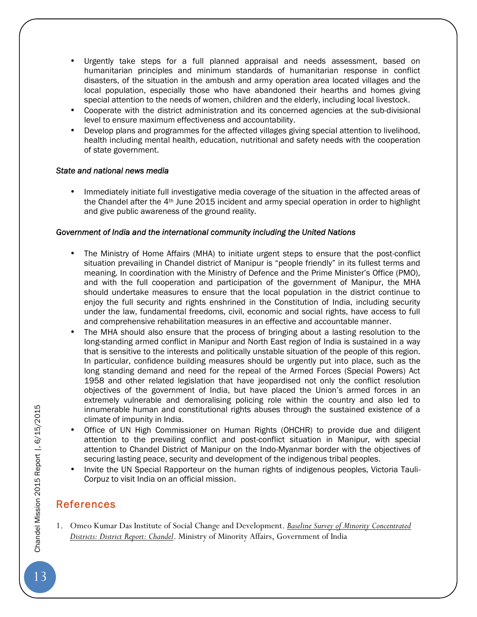- Urgently take steps for a full planned appraisal and needs assessment, based on humanitarian principles and minimum standards of humanitarian response in conflict disasters, of the situation in the ambush and army operation area located villages and the local population, especially those who have abandoned their hearths and homes giving special attention to the needs of women, children and the elderly, including local livestock.
- Cooperate with the district administration and its concerned agencies at the sub-divisional level to ensure maximum effectiveness and accountability.
- Develop plans and programmes for the affected villages giving special attention to livelihood, health including mental health, education, nutritional and safety needs with the cooperation of state government.

#### *State and national news media*

 Immediately initiate full investigative media coverage of the situation in the affected areas of the Chandel after the  $4<sup>th</sup>$  June 2015 incident and army special operation in order to highlight and give public awareness of the ground reality.

### *Government of India and the international community including the United Nations*

- The Ministry of Home Affairs (MHA) to initiate urgent steps to ensure that the post-conflict situation prevailing in Chandel district of Manipur is "people friendly" in its fullest terms and meaning. In coordination with the Ministry of Defence and the Prime Minister's Office (PMO), and with the full cooperation and participation of the government of Manipur, the MHA should undertake measures to ensure that the local population in the district continue to enjoy the full security and rights enshrined in the Constitution of India, including security under the law, fundamental freedoms, civil, economic and social rights, have access to full and comprehensive rehabilitation measures in an effective and accountable manner.
- The MHA should also ensure that the process of bringing about a lasting resolution to the long-standing armed conflict in Manipur and North East region of India is sustained in a way that is sensitive to the interests and politically unstable situation of the people of this region. In particular, confidence building measures should be urgently put into place, such as the long standing demand and need for the repeal of the Armed Forces (Special Powers) Act 1958 and other related legislation that have jeopardised not only the conflict resolution objectives of the government of India, but have placed the Union's armed forces in an extremely vulnerable and demoralising policing role within the country and also led to innumerable human and constitutional rights abuses through the sustained existence of a climate of impunity in India.
- Office of UN High Commissioner on Human Rights (OHCHR) to provide due and diligent attention to the prevailing conflict and post-conflict situation in Manipur, with special attention to Chandel District of Manipur on the Indo-Myanmar border with the objectives of securing lasting peace, security and development of the indigenous tribal peoples.
- Invite the UN Special Rapporteur on the human rights of indigenous peoples, Victoria Tauli-Corpuz to visit India on an official mission.

## **References**

1. Omeo Kumar Das Institute of Social Change and Development. *Baseline Survey of Minority Concentrated Districts: District Report: Chandel*. Ministry of Minority Affairs, Government of India